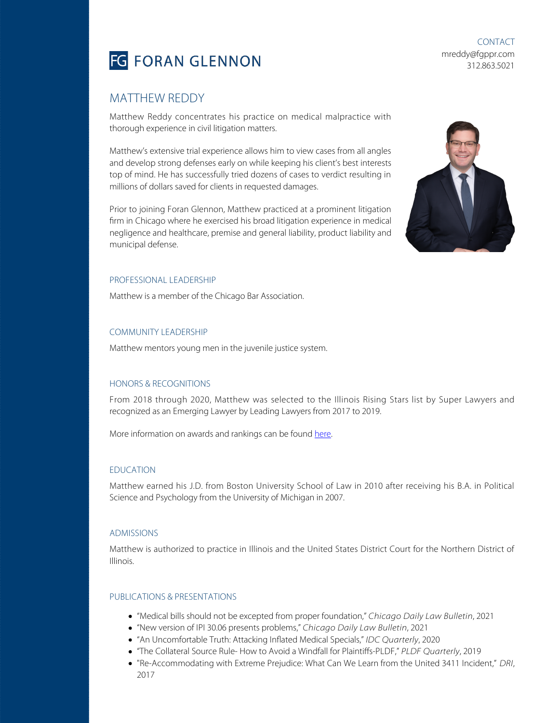

CONTACT mreddy@fgppr.com 312.863.5021

# MATTHEW REDDY

Matthew Reddy concentrates his practice on medical malpractice with thorough experience in civil litigation matters.

Matthew's extensive trial experience allows him to view cases from all angles and develop strong defenses early on while keeping his client's best interests top of mind. He has successfully tried dozens of cases to verdict resulting in millions of dollars saved for clients in requested damages.

Prior to joining Foran Glennon, Matthew practiced at a prominent litigation firm in Chicago where he exercised his broad litigation experience in medical negligence and healthcare, premise and general liability, product liability and municipal defense.



## PROFESSIONAL LEADERSHIP

Matthew is a member of the Chicago Bar Association.

## COMMUNITY LEADERSHIP

Matthew mentors young men in the juvenile justice system.

## HONORS & RECOGNITIONS

From 2018 through 2020, Matthew was selected to the Illinois Rising Stars list by Super Lawyers and recognized as an Emerging Lawyer by Leading Lawyers from 2017 to 2019.

More information on awards and rankings can be found [here.](https://fgppr.com/awards-and-rankings/)

### EDUCATION

Matthew earned his J.D. from Boston University School of Law in 2010 after receiving his B.A. in Political Science and Psychology from the University of Michigan in 2007.

### ADMISSIONS

Matthew is authorized to practice in Illinois and the United States District Court for the Northern District of Illinois.

#### PUBLICATIONS & PRESENTATIONS

- "Medical bills should not be excepted from proper foundation," Chicago Daily Law Bulletin, 2021
- "New version of IPI 30.06 presents problems," Chicago Daily Law Bulletin, 2021
- "An Uncomfortable Truth: Attacking Inflated Medical Specials," IDC Quarterly, 2020
- "The Collateral Source Rule- How to Avoid a Windfall for Plaintiffs-PLDF," PLDF Quarterly, 2019
- . "Re-Accommodating with Extreme Prejudice: What Can We Learn from the United 3411 Incident," DRI, 2017